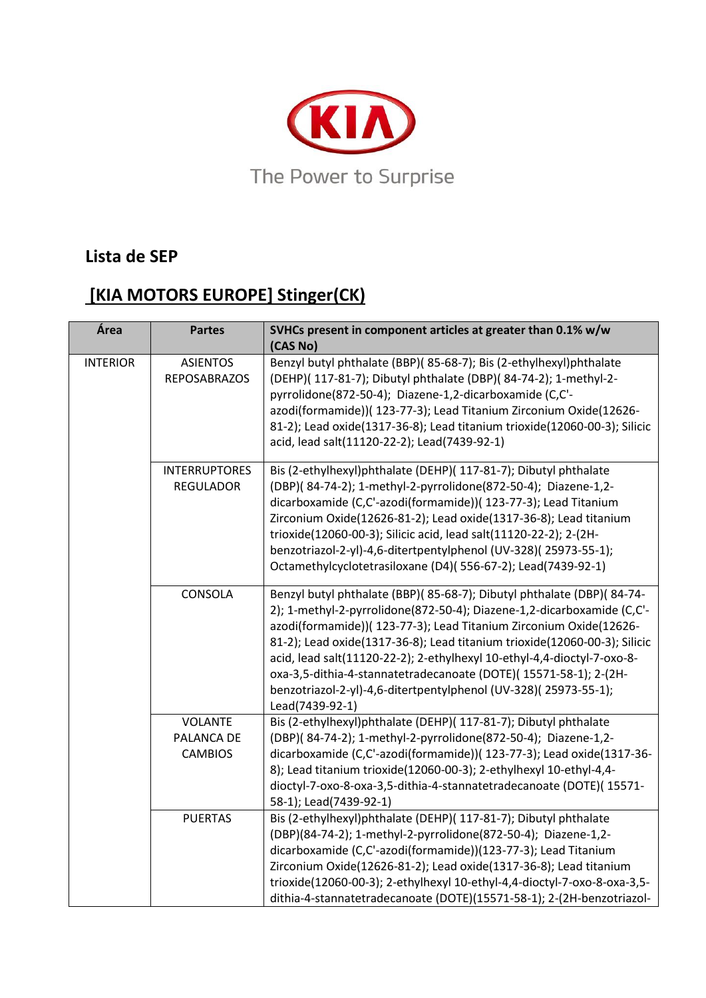

## **Lista de SEP**

## **[KIA MOTORS EUROPE] Stinger(CK)**

| Área            | <b>Partes</b>                                  | SVHCs present in component articles at greater than 0.1% w/w<br>(CAS No)                                                                                                                                                                                                                                                                                                                                                                                                                                                                |
|-----------------|------------------------------------------------|-----------------------------------------------------------------------------------------------------------------------------------------------------------------------------------------------------------------------------------------------------------------------------------------------------------------------------------------------------------------------------------------------------------------------------------------------------------------------------------------------------------------------------------------|
| <b>INTERIOR</b> | <b>ASIENTOS</b><br><b>REPOSABRAZOS</b>         | Benzyl butyl phthalate (BBP)(85-68-7); Bis (2-ethylhexyl)phthalate<br>(DEHP)( 117-81-7); Dibutyl phthalate (DBP)( 84-74-2); 1-methyl-2-<br>pyrrolidone(872-50-4); Diazene-1,2-dicarboxamide (C,C'-<br>azodi(formamide))( 123-77-3); Lead Titanium Zirconium Oxide(12626-<br>81-2); Lead oxide(1317-36-8); Lead titanium trioxide(12060-00-3); Silicic<br>acid, lead salt(11120-22-2); Lead(7439-92-1)                                                                                                                                   |
|                 | <b>INTERRUPTORES</b><br><b>REGULADOR</b>       | Bis (2-ethylhexyl)phthalate (DEHP)( 117-81-7); Dibutyl phthalate<br>(DBP)(84-74-2); 1-methyl-2-pyrrolidone(872-50-4); Diazene-1,2-<br>dicarboxamide (C,C'-azodi(formamide))( 123-77-3); Lead Titanium<br>Zirconium Oxide(12626-81-2); Lead oxide(1317-36-8); Lead titanium<br>trioxide(12060-00-3); Silicic acid, lead salt(11120-22-2); 2-(2H-<br>benzotriazol-2-yl)-4,6-ditertpentylphenol (UV-328)(25973-55-1);<br>Octamethylcyclotetrasiloxane (D4)(556-67-2); Lead(7439-92-1)                                                      |
|                 | CONSOLA                                        | Benzyl butyl phthalate (BBP)(85-68-7); Dibutyl phthalate (DBP)(84-74-<br>2); 1-methyl-2-pyrrolidone(872-50-4); Diazene-1,2-dicarboxamide (C,C'-<br>azodi(formamide))( 123-77-3); Lead Titanium Zirconium Oxide(12626-<br>81-2); Lead oxide(1317-36-8); Lead titanium trioxide(12060-00-3); Silicic<br>acid, lead salt(11120-22-2); 2-ethylhexyl 10-ethyl-4,4-dioctyl-7-oxo-8-<br>oxa-3,5-dithia-4-stannatetradecanoate (DOTE)(15571-58-1); 2-(2H-<br>benzotriazol-2-yl)-4,6-ditertpentylphenol (UV-328)(25973-55-1);<br>Lead(7439-92-1) |
|                 | <b>VOLANTE</b><br>PALANCA DE<br><b>CAMBIOS</b> | Bis (2-ethylhexyl)phthalate (DEHP)( 117-81-7); Dibutyl phthalate<br>(DBP)(84-74-2); 1-methyl-2-pyrrolidone(872-50-4); Diazene-1,2-<br>dicarboxamide (C,C'-azodi(formamide))( 123-77-3); Lead oxide(1317-36-<br>8); Lead titanium trioxide(12060-00-3); 2-ethylhexyl 10-ethyl-4,4-<br>dioctyl-7-oxo-8-oxa-3,5-dithia-4-stannatetradecanoate (DOTE)(15571-<br>58-1); Lead(7439-92-1)                                                                                                                                                      |
|                 | <b>PUERTAS</b>                                 | Bis (2-ethylhexyl)phthalate (DEHP)( 117-81-7); Dibutyl phthalate<br>(DBP)(84-74-2); 1-methyl-2-pyrrolidone(872-50-4); Diazene-1,2-<br>dicarboxamide (C,C'-azodi(formamide))(123-77-3); Lead Titanium<br>Zirconium Oxide(12626-81-2); Lead oxide(1317-36-8); Lead titanium<br>trioxide(12060-00-3); 2-ethylhexyl 10-ethyl-4,4-dioctyl-7-oxo-8-oxa-3,5-<br>dithia-4-stannatetradecanoate (DOTE)(15571-58-1); 2-(2H-benzotriazol-                                                                                                          |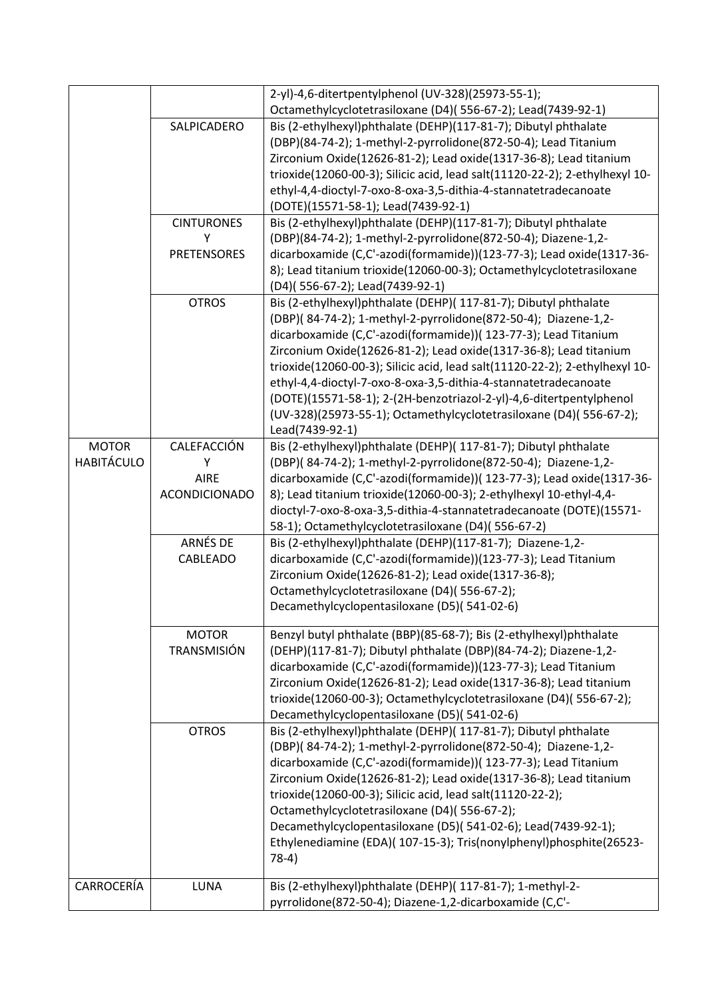|                   |                      | 2-yl)-4,6-ditertpentylphenol (UV-328)(25973-55-1);                          |
|-------------------|----------------------|-----------------------------------------------------------------------------|
|                   |                      | Octamethylcyclotetrasiloxane (D4)(556-67-2); Lead(7439-92-1)                |
|                   | SALPICADERO          | Bis (2-ethylhexyl)phthalate (DEHP)(117-81-7); Dibutyl phthalate             |
|                   |                      | (DBP)(84-74-2); 1-methyl-2-pyrrolidone(872-50-4); Lead Titanium             |
|                   |                      | Zirconium Oxide(12626-81-2); Lead oxide(1317-36-8); Lead titanium           |
|                   |                      | trioxide(12060-00-3); Silicic acid, lead salt(11120-22-2); 2-ethylhexyl 10- |
|                   |                      | ethyl-4,4-dioctyl-7-oxo-8-oxa-3,5-dithia-4-stannatetradecanoate             |
|                   |                      | (DOTE)(15571-58-1); Lead(7439-92-1)                                         |
|                   | <b>CINTURONES</b>    | Bis (2-ethylhexyl)phthalate (DEHP)(117-81-7); Dibutyl phthalate             |
|                   | Y                    | (DBP)(84-74-2); 1-methyl-2-pyrrolidone(872-50-4); Diazene-1,2-              |
|                   | <b>PRETENSORES</b>   | dicarboxamide (C,C'-azodi(formamide))(123-77-3); Lead oxide(1317-36-        |
|                   |                      | 8); Lead titanium trioxide(12060-00-3); Octamethylcyclotetrasiloxane        |
|                   |                      | (D4)(556-67-2); Lead(7439-92-1)                                             |
|                   | <b>OTROS</b>         | Bis (2-ethylhexyl)phthalate (DEHP)( 117-81-7); Dibutyl phthalate            |
|                   |                      | (DBP)(84-74-2); 1-methyl-2-pyrrolidone(872-50-4); Diazene-1,2-              |
|                   |                      | dicarboxamide (C,C'-azodi(formamide))( 123-77-3); Lead Titanium             |
|                   |                      | Zirconium Oxide(12626-81-2); Lead oxide(1317-36-8); Lead titanium           |
|                   |                      | trioxide(12060-00-3); Silicic acid, lead salt(11120-22-2); 2-ethylhexyl 10- |
|                   |                      | ethyl-4,4-dioctyl-7-oxo-8-oxa-3,5-dithia-4-stannatetradecanoate             |
|                   |                      | (DOTE)(15571-58-1); 2-(2H-benzotriazol-2-yl)-4,6-ditertpentylphenol         |
|                   |                      | (UV-328)(25973-55-1); Octamethylcyclotetrasiloxane (D4)(556-67-2);          |
|                   |                      | Lead(7439-92-1)                                                             |
| <b>MOTOR</b>      | CALEFACCIÓN          | Bis (2-ethylhexyl)phthalate (DEHP)( 117-81-7); Dibutyl phthalate            |
| <b>HABITÁCULO</b> | Υ                    | (DBP)(84-74-2); 1-methyl-2-pyrrolidone(872-50-4); Diazene-1,2-              |
|                   | <b>AIRE</b>          | dicarboxamide (C,C'-azodi(formamide))( 123-77-3); Lead oxide(1317-36-       |
|                   | <b>ACONDICIONADO</b> | 8); Lead titanium trioxide(12060-00-3); 2-ethylhexyl 10-ethyl-4,4-          |
|                   |                      | dioctyl-7-oxo-8-oxa-3,5-dithia-4-stannatetradecanoate (DOTE)(15571-         |
|                   |                      | 58-1); Octamethylcyclotetrasiloxane (D4)(556-67-2)                          |
|                   | ARNÉS DE             | Bis (2-ethylhexyl)phthalate (DEHP)(117-81-7); Diazene-1,2-                  |
|                   | CABLEADO             | dicarboxamide (C,C'-azodi(formamide))(123-77-3); Lead Titanium              |
|                   |                      | Zirconium Oxide(12626-81-2); Lead oxide(1317-36-8);                         |
|                   |                      | Octamethylcyclotetrasiloxane (D4)(556-67-2);                                |
|                   |                      | Decamethylcyclopentasiloxane (D5)(541-02-6)                                 |
|                   |                      |                                                                             |
|                   | <b>MOTOR</b>         | Benzyl butyl phthalate (BBP)(85-68-7); Bis (2-ethylhexyl)phthalate          |
|                   | <b>TRANSMISIÓN</b>   | (DEHP)(117-81-7); Dibutyl phthalate (DBP)(84-74-2); Diazene-1,2-            |
|                   |                      | dicarboxamide (C,C'-azodi(formamide))(123-77-3); Lead Titanium              |
|                   |                      | Zirconium Oxide(12626-81-2); Lead oxide(1317-36-8); Lead titanium           |
|                   |                      | trioxide(12060-00-3); Octamethylcyclotetrasiloxane (D4)(556-67-2);          |
|                   |                      | Decamethylcyclopentasiloxane (D5)(541-02-6)                                 |
|                   | <b>OTROS</b>         | Bis (2-ethylhexyl)phthalate (DEHP)( 117-81-7); Dibutyl phthalate            |
|                   |                      | (DBP)(84-74-2); 1-methyl-2-pyrrolidone(872-50-4); Diazene-1,2-              |
|                   |                      | dicarboxamide (C,C'-azodi(formamide))( 123-77-3); Lead Titanium             |
|                   |                      | Zirconium Oxide(12626-81-2); Lead oxide(1317-36-8); Lead titanium           |
|                   |                      | trioxide(12060-00-3); Silicic acid, lead salt(11120-22-2);                  |
|                   |                      | Octamethylcyclotetrasiloxane (D4)(556-67-2);                                |
|                   |                      | Decamethylcyclopentasiloxane (D5)(541-02-6); Lead(7439-92-1);               |
|                   |                      | Ethylenediamine (EDA)( 107-15-3); Tris(nonylphenyl)phosphite(26523-         |
|                   |                      | $78-4)$                                                                     |
| CARROCERÍA        | LUNA                 | Bis (2-ethylhexyl)phthalate (DEHP)( 117-81-7); 1-methyl-2-                  |
|                   |                      | pyrrolidone(872-50-4); Diazene-1,2-dicarboxamide (C,C'-                     |